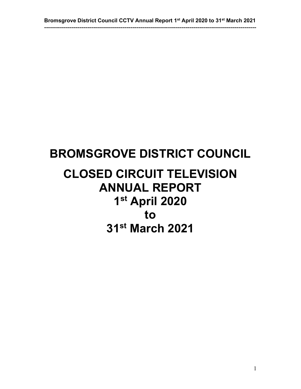# **BROMSGROVE DISTRICT COUNCIL**

# **CLOSED CIRCUIT TELEVISION ANNUAL REPORT 1st April 2020 to 31st March 2021**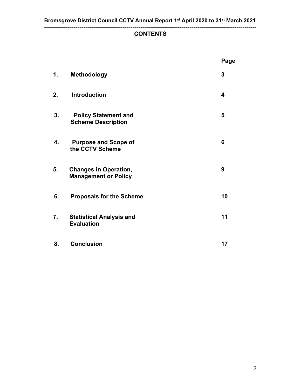#### **------------------------------------------------------------------------------------------------------------ CONTENTS**

|    |                                                             | Page                    |
|----|-------------------------------------------------------------|-------------------------|
| 1. | <b>Methodology</b>                                          | 3                       |
| 2. | <b>Introduction</b>                                         | $\overline{\mathbf{4}}$ |
| 3. | <b>Policy Statement and</b><br><b>Scheme Description</b>    | 5                       |
| 4. | <b>Purpose and Scope of</b><br>the CCTV Scheme              | 6                       |
| 5. | <b>Changes in Operation,</b><br><b>Management or Policy</b> | 9                       |
| 6. | <b>Proposals for the Scheme</b>                             | 10                      |
| 7. | <b>Statistical Analysis and</b><br><b>Evaluation</b>        | 11                      |
| 8. | <b>Conclusion</b>                                           | 17                      |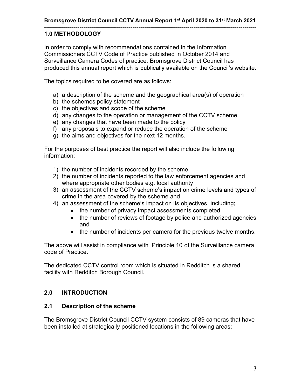#### **------------------------------------------------------------------------------------------------------------ 1.0 METHODOLOGY**

In order to comply with recommendations contained in the Information Commissioners CCTV Code of Practice published in October 2014 and Surveillance Camera Codes of practice. Bromsgrove District Council has produced this annual report which is publically available on the Council's website.

The topics required to be covered are as follows:

- a) a description of the scheme and the geographical area(s) of operation
- b) the schemes policy statement
- c) the objectives and scope of the scheme
- d) any changes to the operation or management of the CCTV scheme
- e) any changes that have been made to the policy
- f) any proposals to expand or reduce the operation of the scheme
- g) the aims and objectives for the next 12 months.

For the purposes of best practice the report will also include the following information:

- 1) the number of incidents recorded by the scheme
- 2) the number of incidents reported to the law enforcement agencies and where appropriate other bodies e.g. local authority
- 3) an assessment of the CCTV scheme's impact on crime levels and types of crime in the area covered by the scheme and
- 4) an assessment of the scheme's impact on its objectives, including;
	- the number of privacy impact assessments completed
	- the number of reviews of footage by police and authorized agencies and
	- the number of incidents per camera for the previous twelve months.

The above will assist in compliance with Principle 10 of the Surveillance camera code of Practice.

The dedicated CCTV control room which is situated in Redditch is a shared facility with Redditch Borough Council.

## **2.0 INTRODUCTION**

#### **2.1 Description of the scheme**

The Bromsgrove District Council CCTV system consists of 89 cameras that have been installed at strategically positioned locations in the following areas;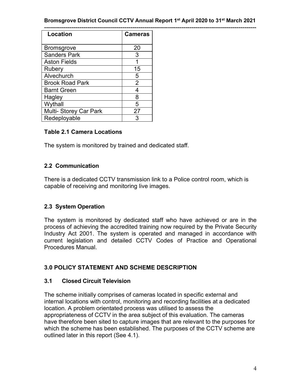#### **Bromsgrove District Council CCTV Annual Report 1st April 2020 to 31st March 2021**

| Location               | <b>Cameras</b> |
|------------------------|----------------|
|                        |                |
| <b>Bromsgrove</b>      | 20             |
| <b>Sanders Park</b>    | 3              |
| <b>Aston Fields</b>    |                |
| Rubery                 | 15             |
| Alvechurch             | 5              |
| <b>Brook Road Park</b> | $\overline{2}$ |
| <b>Barnt Green</b>     | 4              |
| Hagley                 | 8              |
| Wythall                | 5              |
| Multi- Storey Car Park | 27             |
| Redeployable           | 3              |

#### **Table 2.1 Camera Locations**

The system is monitored by trained and dedicated staff.

#### **2.2 Communication**

There is a dedicated CCTV transmission link to a Police control room, which is capable of receiving and monitoring live images.

#### **2.3 System Operation**

The system is monitored by dedicated staff who have achieved or are in the process of achieving the accredited training now required by the Private Security Industry Act 2001. The system is operated and managed in accordance with current legislation and detailed CCTV Codes of Practice and Operational Procedures Manual.

#### **3.0 POLICY STATEMENT AND SCHEME DESCRIPTION**

#### **3.1 Closed Circuit Television**

The scheme initially comprises of cameras located in specific external and internal locations with control, monitoring and recording facilities at a dedicated location. A problem orientated process was utilised to assess the appropriateness of CCTV in the area subject of this evaluation. The cameras have therefore been sited to capture images that are relevant to the purposes for which the scheme has been established. The purposes of the CCTV scheme are outlined later in this report (See 4.1).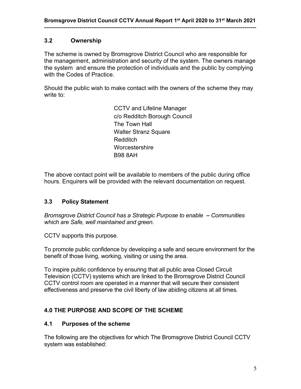#### **3.2 Ownership**

The scheme is owned by Bromsgrove District Council who are responsible for the management, administration and security of the system. The owners manage the system and ensure the protection of individuals and the public by complying with the Codes of Practice.

Should the public wish to make contact with the owners of the scheme they may write to:

> CCTV and Lifeline Manager c/o Redditch Borough Council The Town Hall Walter Stranz Square Redditch **Worcestershire** B98 8AH

The above contact point will be available to members of the public during office hours. Enquirers will be provided with the relevant documentation on request.

#### **3.3 Policy Statement**

*Bromsgrove District Council has a Strategic Purpose to enable Communities which are Safe, well maintained and green.*

CCTV supports this purpose.

To promote public confidence by developing a safe and secure environment for the benefit of those living, working, visiting or using the area.

To inspire public confidence by ensuring that all public area Closed Circuit Television (CCTV) systems which are linked to the Bromsgrove District Council CCTV control room are operated in a manner that will secure their consistent effectiveness and preserve the civil liberty of law abiding citizens at all times.

## **4.0 THE PURPOSE AND SCOPE OF THE SCHEME**

#### **4.1 Purposes of the scheme**

The following are the objectives for which The Bromsgrove District Council CCTV system was established: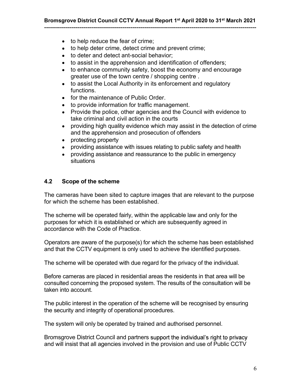- to help reduce the fear of crime:
- to help deter crime, detect crime and prevent crime;
- to deter and detect ant-social behavior:
- to assist in the apprehension and identification of offenders;
- $\bullet$ to enhance community safety, boost the economy and encourage greater use of the town centre / shopping centre .
- to assist the Local Authority in its enforcement and regulatory  $\bullet$ functions.
- for the maintenance of Public Order.
- to provide information for traffic management.
- $\bullet$ Provide the police, other agencies and the Council with evidence to take criminal and civil action in the courts
- providing high quality evidence which may assist in the detection of crime  $\bullet$ and the apprehension and prosecution of offenders
- protecting property  $\bullet$
- providing assistance with issues relating to public safety and health  $\bullet$
- providing assistance and reassurance to the public in emergency  $\bullet$ situations

#### **4.2 Scope of the scheme**

The cameras have been sited to capture images that are relevant to the purpose for which the scheme has been established.

The scheme will be operated fairly, within the applicable law and only for the purposes for which it is established or which are subsequently agreed in accordance with the Code of Practice.

Operators are aware of the purpose(s) for which the scheme has been established and that the CCTV equipment is only used to achieve the identified purposes.

The scheme will be operated with due regard for the privacy of the individual.

Before cameras are placed in residential areas the residents in that area will be consulted concerning the proposed system. The results of the consultation will be taken into account.

The public interest in the operation of the scheme will be recognised by ensuring the security and integrity of operational procedures.

The system will only be operated by trained and authorised personnel.

Bromsgrove District Council and partners support the individual's right to privacy and will insist that all agencies involved in the provision and use of Public CCTV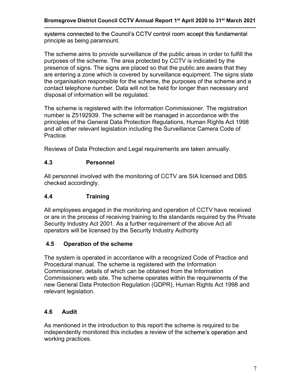**-----------------------------------------------------------------------------------------------------------** systems connected to the Council's CCTV control room accept this fundamental principle as being paramount.

The scheme aims to provide surveillance of the public areas in order to fulfill the purposes of the scheme. The area protected by CCTV is indicated by the presence of signs. The signs are placed so that the public are aware that they are entering a zone which is covered by surveillance equipment. The signs state the organisation responsible for the scheme, the purposes of the scheme and a contact telephone number. Data will not be held for longer than necessary and disposal of information will be regulated.

The scheme is registered with the Information Commissioner. The registration number is Z5192939. The scheme will be managed in accordance with the principles of the General Data Protection Regulations, Human Rights Act 1998 and all other relevant legislation including the Surveillance Camera Code of Practice.

Reviews of Data Protection and Legal requirements are taken annually.

#### **4.3 Personnel**

All personnel involved with the monitoring of CCTV are SIA licensed and DBS checked accordingly.

## **4.4 Training**

All employees engaged in the monitoring and operation of CCTV have received or are in the process of receiving training to the standards required by the Private Security Industry Act 2001. As a further requirement of the above Act all operators will be licensed by the Security Industry Authority

## **4.5 Operation of the scheme**

The system is operated in accordance with a recognized Code of Practice and Procedural manual. The scheme is registered with the Information Commissioner, details of which can be obtained from the Information Commissioners web site. The scheme operates within the requirements of the new General Data Protection Regulation (GDPR), Human Rights Act 1998 and relevant legislation.

## **4.6 Audit**

As mentioned in the introduction to this report the scheme is required to be independently monitored this includes a review of the scheme's operation and working practices.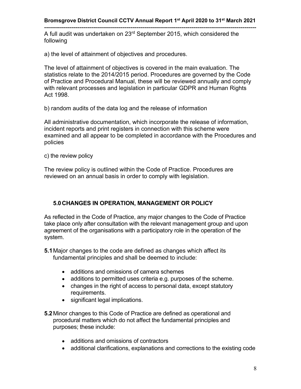**------------------------------------------------------------------------------------------------------------** A full audit was undertaken on 23<sup>rd</sup> September 2015, which considered the following

a) the level of attainment of objectives and procedures.

The level of attainment of objectives is covered in the main evaluation. The statistics relate to the 2014/2015 period. Procedures are governed by the Code of Practice and Procedural Manual, these will be reviewed annually and comply with relevant processes and legislation in particular GDPR and Human Rights Act 1998.

b) random audits of the data log and the release of information

All administrative documentation, which incorporate the release of information, incident reports and print registers in connection with this scheme were examined and all appear to be completed in accordance with the Procedures and policies

c) the review policy

The review policy is outlined within the Code of Practice. Procedures are reviewed on an annual basis in order to comply with legislation.

#### **5.0CHANGES IN OPERATION, MANAGEMENT OR POLICY**

As reflected in the Code of Practice, any major changes to the Code of Practice take place only after consultation with the relevant management group and upon agreement of the organisations with a participatory role in the operation of the system.

- **5.1**Major changes to the code are defined as changes which affect its fundamental principles and shall be deemed to include:
	- additions and omissions of camera schemes
	- additions to permitted uses criteria e.g. purposes of the scheme.
	- changes in the right of access to personal data, except statutory requirements.
	- significant legal implications.
- **5.2**Minor changes to this Code of Practice are defined as operational and procedural matters which do not affect the fundamental principles and purposes; these include:
	- additions and omissions of contractors
	- additional clarifications, explanations and corrections to the existing code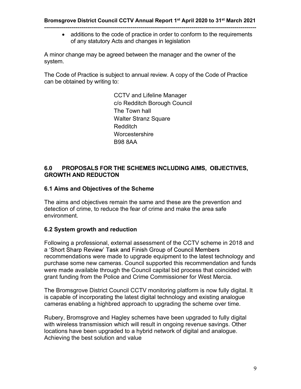additions to the code of practice in order to conform to the requirements of any statutory Acts and changes in legislation

A minor change may be agreed between the manager and the owner of the system.

The Code of Practice is subject to annual review. A copy of the Code of Practice can be obtained by writing to:

> CCTV and Lifeline Manager c/o Redditch Borough Council The Town hall Walter Stranz Square Redditch **Worcestershire** B98 8AA

#### **6.0 PROPOSALS FOR THE SCHEMES INCLUDING AIMS, OBJECTIVES, GROWTH AND REDUCTON**

#### **6.1 Aims and Objectives of the Scheme**

The aims and objectives remain the same and these are the prevention and detection of crime, to reduce the fear of crime and make the area safe environment.

#### **6.2 System growth and reduction**

Following a professional, external assessment of the CCTV scheme in 2018 and a 'Short Sharp Review' Task and Finish Group of Council Members recommendations were made to upgrade equipment to the latest technology and purchase some new cameras. Council supported this recommendation and funds were made available through the Council capital bid process that coincided with grant funding from the Police and Crime Commissioner for West Mercia.

The Bromsgrove District Council CCTV monitoring platform is now fully digital. It is capable of incorporating the latest digital technology and existing analogue cameras enabling a highbred approach to upgrading the scheme over time.

Rubery, Bromsgrove and Hagley schemes have been upgraded to fully digital with wireless transmission which will result in ongoing revenue savings. Other locations have been upgraded to a hybrid network of digital and analogue. Achieving the best solution and value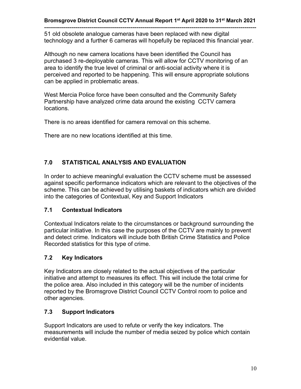**------------------------------------------------------------------------------------------------------------** 51 old obsolete analogue cameras have been replaced with new digital technology and a further 6 cameras will hopefully be replaced this financial year.

Although no new camera locations have been identified the Council has purchased 3 re-deployable cameras. This will allow for CCTV monitoring of an area to identify the true level of criminal or anti-social activity where it is perceived and reported to be happening. This will ensure appropriate solutions can be applied in problematic areas.

West Mercia Police force have been consulted and the Community Safety Partnership have analyzed crime data around the existing CCTV camera locations.

There is no areas identified for camera removal on this scheme.

There are no new locations identified at this time.

## **7.0 STATISTICAL ANALYSIS AND EVALUATION**

In order to achieve meaningful evaluation the CCTV scheme must be assessed against specific performance indicators which are relevant to the objectives of the scheme. This can be achieved by utilising baskets of indicators which are divided into the categories of Contextual, Key and Support Indicators

#### **7.1 Contextual Indicators**

Contextual Indicators relate to the circumstances or background surrounding the particular initiative. In this case the purposes of the CCTV are mainly to prevent and detect crime. Indicators will include both British Crime Statistics and Police Recorded statistics for this type of crime.

## **7.2 Key Indicators**

Key Indicators are closely related to the actual objectives of the particular initiative and attempt to measures its effect. This will include the total crime for the police area. Also included in this category will be the number of incidents reported by the Bromsgrove District Council CCTV Control room to police and other agencies.

## **7.3 Support Indicators**

Support Indicators are used to refute or verify the key indicators. The measurements will include the number of media seized by police which contain evidential value.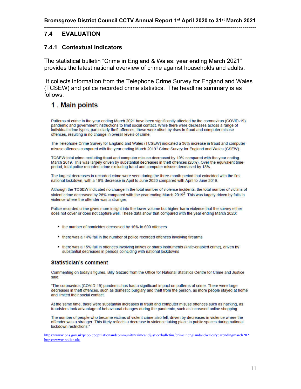#### **------------------------------------------------------------------------------------------------------------ 7.4 EVALUATION**

#### **7.4.1 Contextual Indicators**

The statistical bulletin "Crime in England & Wales: year ending March 2021" provides the latest national overview of crime against households and adults.

It collects information from the Telephone Crime Survey for England and Wales (TCSEW) and police recorded crime statistics. The headline summary is as follows:

## 1. Main points

Patterns of crime in the year ending March 2021 have been significantly affected by the coronavirus (COVID-19) pandemic and government instructions to limit social contact. While there were decreases across a range of individual crime types, particularly theft offences, these were offset by rises in fraud and computer misuse offences, resulting in no change in overall levels of crime.

The Telephone Crime Survey for England and Wales (TCSEW) indicated a 36% increase in fraud and computer misuse offences compared with the year ending March 2019<sup>1</sup> Crime Survey for England and Wales (CSEW).

TCSEW total crime excluding fraud and computer misuse decreased by 19% compared with the year ending March 2019. This was largely driven by substantial decreases in theft offences (20%). Over the equivalent timeperiod, total police recorded crime excluding fraud and computer misuse decreased by 13%.

The largest decreases in recorded crime were seen during the three-month period that coincided with the first national lockdown, with a 19% decrease in April to June 2020 compared with April to June 2019.

Although the TCSEW indicated no change in the total number of violence incidents, the total number of victims of violent crime decreased by 28% compared with the year ending March 2019<sup>2</sup>. This was largely driven by falls in violence where the offender was a stranger.

Police recorded crime gives more insight into the lower-volume but higher-harm violence that the survey either does not cover or does not capture well. These data show that compared with the year ending March 2020:

- the number of homicides decreased by 16% to 600 offences
- there was a 14% fall in the number of police recorded offences involving firearms
- . there was a 15% fall in offences involving knives or sharp instruments (knife-enabled crime), driven by substantial decreases in periods coinciding with national lockdowns

#### **Statistician's comment**

Commenting on today's figures, Billy Gazard from the Office for National Statistics Centre for Crime and Justice said:

"The coronavirus (COVID-19) pandemic has had a significant impact on patterns of crime. There were large decreases in theft offences, such as domestic burglary and theft from the person, as more people stayed at home and limited their social contact.

At the same time, there were substantial increases in fraud and computer misuse offences such as hacking, as fraudsters took advantage of behavioural changes during the pandemic, such as increased online shopping

The number of people who became victims of violent crime also fell, driven by decreases in violence where the offender was a stranger. This likely reflects a decrease in violence taking place in public spaces during national lockdown restrictions'

https://www.ons.gov.uk/peoplepopulationandcommunity/crimeandjustice/bulletins/crimeinenglandandwales/yearendingmarch2021 https://www.police.uk/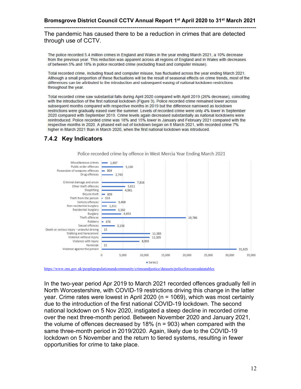**------------------------------------------------------------------------------------------------------------** The pandemic has caused there to be a reduction in crimes that are detected through use of CCTV.

The police recorded 5.4 million crimes in England and Wales in the year ending March 2021, a 10% decrease from the previous year. This reduction was apparent across all regions of England and in Wales with decreases of between 5% and 18% in police recorded crime (excluding fraud and computer misuse).

Total recorded crime, including fraud and computer misuse, has fluctuated across the year ending March 2021. Although a small proportion of these fluctuations will be the result of seasonal effects on crime trends, most of the differences can be altributed to the introduction and subsequent easing of national lockdown restrictions throughout the year.

Total recorded crime saw substantial falls during April 2020 compared with April 2019 (26% decrease), coinciding with the introduction of the first national lockdown (Figure 3). Police recorded crime remained lower across subsequent months compared with respective months in 2019 but the difference narrowed as lockdown restrictions were gradually eased over the summer. Levels of recorded crime were only 4% lower in September 2020 compared with September 2019. Crime levels again decreased substantially as national lockdowns were reintroduced. Police recorded crime was 18% and 15% lower in January and February 2021 compared with the respective months in 2020. A phased exit out of lockdown began on 8 March 2021, with recorded crime 7% higher in March 2021 than in March 2020, when the first national lockdown was introduced.

#### **7.4.2 Key Indicators**



Police recorded crime by offence in West Mercia Year Ending March 2021

https://www.ons.gov.uk/peoplepopulationandcommunity/crimeandjustice/datasets/policeforceareadatatables

In the two-year period Apr 2019 to March 2021 recorded offences gradually fell in North Worcestershire, with COVID-19 restrictions driving this change in the latter year. Crime rates were lowest in April 2020 (n = 1069), which was most certainly due to the introduction of the first national COVID-19 lockdown. The second national lockdown on 5 Nov 2020, instigated a steep decline in recorded crime over the next three-month period. Between November 2020 and January 2021, the volume of offences decreased by 18% (n = 903) when compared with the same three-month period in 2019/2020. Again, likely due to the COVID-19 lockdown on 5 November and the return to tiered systems, resulting in fewer opportunities for crime to take place.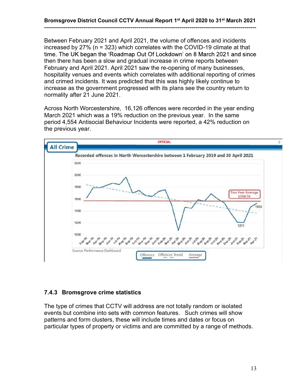Between February 2021 and April 2021, the volume of offences and incidents increased by 27% (n = 323) which correlates with the COVID-19 climate at that time. The UK began the 'Roadmap Out Of Lockdown' on 8 March 2021 and since then there has been a slow and gradual increase in crime reports between February and April 2021. April 2021 saw the re-opening of many businesses, hospitality venues and events which correlates with additional reporting of crimes and crimed incidents. It was predicted that this was highly likely continue to increase as the government progressed with its plans see the country return to normality after 21 June 2021.

Across North Worcestershire, 16,126 offences were recorded in the year ending March 2021 which was a 19% reduction on the previous year. In the same period 4,554 Antisocial Behaviour Incidents were reported, a 42% reduction on the previous year.



## **7.4.3 Bromsgrove crime statistics**

The type of crimes that CCTV will address are not totally random or isolated events but combine into sets with common features. Such crimes will show patterns and form clusters, these will include times and dates or focus on particular types of property or victims and are committed by a range of methods.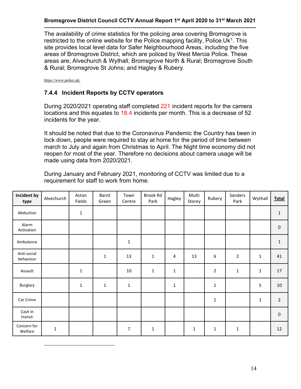**------------------------------------------------------------------------------------------------------------** The availability of crime statistics for the policing area covering Bromsgrove is restricted to the online website for the Police mapping facility, Police.Uk<sup>1</sup>. This site provides local level data for Safer Neighbourhood Areas, including the five areas of Bromsgrove District, which are policed by West Mercia Police. These areas are; Alvechurch & Wythall; Bromsgrove North & Rural; Bromsgrove South & Rural; Bromsgrove St Johns; and Hagley & Rubery.

https://www.police.uk/

#### **7.4.4 Incident Reports by CCTV operators**

During 2020/2021 operating staff completed 221 incident reports for the camera locations and this equates to 18.4 incidents per month. This is a decrease of 52 incidents for the year.

It should be noted that due to the Coronavirus Pandemic the Country has been in lock down, people were required to stay at home for the period of time between march to July and again from Christmas to April. The Night time economy did not reopen for most of the year. Therefore no decisions about camera usage will be made using data from 2020/2021.

During January and February 2021, monitoring of CCTV was limited due to a requirement for staff to work from home.

| Incident by<br>type      | Alvechurch  | Aston<br>Fields | Barnt<br>Green | Town<br>Centre | Brook Rd<br>Park | Hagley      | Multi<br>Storey | Rubery         | Sanders<br>Park | Wythall     | Total          |
|--------------------------|-------------|-----------------|----------------|----------------|------------------|-------------|-----------------|----------------|-----------------|-------------|----------------|
| Abduction                |             | $\mathbf 1$     |                |                |                  |             |                 |                |                 |             | $\mathbf{1}$   |
| Alarm<br>Activation      |             |                 |                |                |                  |             |                 |                |                 |             | $\pmb{0}$      |
| Ambulance                |             |                 |                | $\mathbf 1$    |                  |             |                 |                |                 |             | $\mathbf 1$    |
| Anti-social<br>behaviour |             |                 | 1              | 13             | 1                | 4           | 13              | $\sqrt{6}$     | $\overline{2}$  | $\mathbf 1$ | 41             |
| Assault                  |             | $\mathbf 1$     |                | $10\,$         | $\mathbf 1$      | $\mathbf 1$ |                 | $\overline{2}$ | $\mathbf 1$     | 1           | 17             |
| Burglary                 |             | $\mathbf 1$     | $\mathbf{1}$   | $\mathbf 1$    |                  | $\mathbf 1$ |                 | $\mathbf{1}$   |                 | 5           | 10             |
| Car Crime                |             |                 |                |                |                  |             |                 | $1\,$          |                 | 1           | $\overline{2}$ |
| Cash in<br>transit       |             |                 |                |                |                  |             |                 |                |                 |             | $\pmb{0}$      |
| Concern for<br>Welfare   | $\mathbf 1$ |                 |                | $\overline{7}$ | 1                |             | $\mathbf{1}$    | $\mathbf 1$    | $\mathbf 1$     |             | 12             |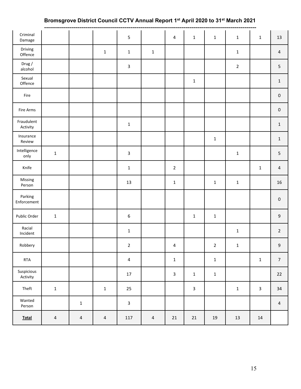## **Bromsgrove District Council CCTV Annual Report 1st April 2020 to 31st March 2021**

| Criminal<br>Damage     |                |                         |                         | 5                |             | 4              | $\mathbf 1$  | $\mathbf 1$     | $\mathbf 1$    | $\mathbf 1$  | 13                  |
|------------------------|----------------|-------------------------|-------------------------|------------------|-------------|----------------|--------------|-----------------|----------------|--------------|---------------------|
| Driving<br>Offence     |                |                         | $\mathbf 1$             | $\mathbf 1$      | $\mathbf 1$ |                |              |                 | $\mathbf 1$    |              | $\overline{4}$      |
| Drug /<br>alcohol      |                |                         |                         | $\mathbf{3}$     |             |                |              |                 | $\overline{2}$ |              | $\overline{5}$      |
| Sexual<br>Offence      |                |                         |                         |                  |             |                | $\mathbf 1$  |                 |                |              | $\mathbf{1}$        |
| Fire                   |                |                         |                         |                  |             |                |              |                 |                |              | $\mathsf{O}\xspace$ |
| Fire Arms              |                |                         |                         |                  |             |                |              |                 |                |              | $\mathbf 0$         |
| Fraudulent<br>Activity |                |                         |                         | $\mathbf 1$      |             |                |              |                 |                |              | $\mathbf{1}$        |
| Insurance<br>Review    |                |                         |                         |                  |             |                |              | $\mathbf 1$     |                |              | $\mathbf 1$         |
| Intelligence<br>only   | $\mathbf 1$    |                         |                         | 3                |             |                |              |                 | $\mathbf 1$    |              | $\overline{5}$      |
| Knife                  |                |                         |                         | $\mathbf 1$      |             | $\overline{2}$ |              |                 |                | $\mathbf 1$  | $\overline{4}$      |
| Missing<br>Person      |                |                         |                         | 13               |             | $\mathbf 1$    |              | $\mathbf 1$     | $\mathbf 1$    |              | 16                  |
| Parking<br>Enforcement |                |                         |                         |                  |             |                |              |                 |                |              | $\mathsf{O}\xspace$ |
| Public Order           | $\mathbf 1$    |                         |                         | $\boldsymbol{6}$ |             |                | $\mathbf 1$  | $\mathbf 1$     |                |              | $\boldsymbol{9}$    |
| Racial<br>Incident     |                |                         |                         | $\mathbf 1$      |             |                |              |                 | $\mathbf 1$    |              | $\overline{2}$      |
| Robbery                |                |                         |                         | $\mathbf 2$      |             | $\overline{4}$ |              | $2\overline{ }$ | $\mathbf 1$    |              | $\boldsymbol{9}$    |
| RTA                    |                |                         |                         | $\overline{4}$   |             | $\mathbf 1$    |              | $\mathbf 1$     |                | $\mathbf{1}$ | $\overline{7}$      |
| Suspicious<br>Activity |                |                         |                         | 17               |             | $\mathbf{3}$   | $\mathbf 1$  | $\mathbf{1}$    |                |              | 22                  |
| Theft                  | $\mathbf 1$    |                         | $\mathbf 1$             | 25               |             |                | $\mathbf{3}$ |                 | $\mathbf 1$    | $\mathbf{3}$ | 34                  |
| Wanted<br>Person       |                | $\mathbf 1$             |                         | $\mathbf{3}$     |             |                |              |                 |                |              | $\overline{a}$      |
| <b>Total</b>           | $\overline{4}$ | $\overline{\mathbf{4}}$ | $\overline{\mathbf{4}}$ | 117              | $\sqrt{4}$  | $21\,$         | $21\,$       | $19\,$          | 13             | 14           |                     |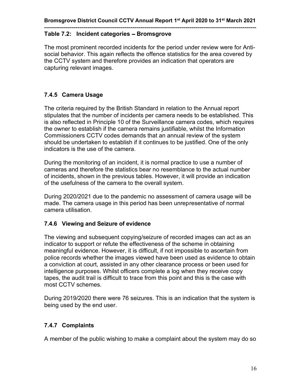#### **------------------------------------------------------------------------------------------------------------ Table 7.2: Incident categories - Bromsgrove**

The most prominent recorded incidents for the period under review were for Antisocial behavior. This again reflects the offence statistics for the area covered by the CCTV system and therefore provides an indication that operators are capturing relevant images.

#### **7.4.5 Camera Usage**

The criteria required by the British Standard in relation to the Annual report stipulates that the number of incidents per camera needs to be established. This is also reflected in Principle 10 of the Surveillance camera codes, which requires the owner to establish if the camera remains justifiable, whilst the Information Commissioners CCTV codes demands that an annual review of the system should be undertaken to establish if it continues to be justified. One of the only indicators is the use of the camera.

During the monitoring of an incident, it is normal practice to use a number of cameras and therefore the statistics bear no resemblance to the actual number of incidents, shown in the previous tables. However, it will provide an indication of the usefulness of the camera to the overall system.

During 2020/2021 due to the pandemic no assessment of camera usage will be made. The camera usage in this period has been unrepresentative of normal camera utilisation.

#### **7.4.6 Viewing and Seizure of evidence**

The viewing and subsequent copying/seizure of recorded images can act as an indicator to support or refute the effectiveness of the scheme in obtaining meaningful evidence. However, it is difficult, if not impossible to ascertain from police records whether the images viewed have been used as evidence to obtain a conviction at court, assisted in any other clearance process or been used for intelligence purposes. Whilst officers complete a log when they receive copy tapes, the audit trail is difficult to trace from this point and this is the case with most CCTV schemes.

During 2019/2020 there were 76 seizures. This is an indication that the system is being used by the end user.

#### **7.4.7 Complaints**

A member of the public wishing to make a complaint about the system may do so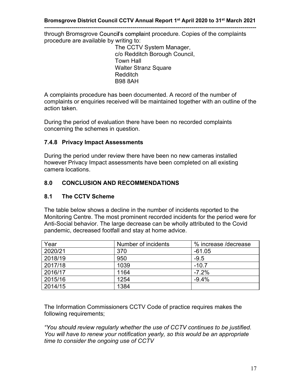**-----------------------------------------------------------------------------------------------------------** through Bromsgrove Council's complaint procedure. Copies of the complaints procedure are available by writing to:

> The CCTV System Manager, c/o Redditch Borough Council, Town Hall Walter Stranz Square Redditch B98 8AH

A complaints procedure has been documented. A record of the number of complaints or enquiries received will be maintained together with an outline of the action taken.

During the period of evaluation there have been no recorded complaints concerning the schemes in question.

#### **7.4.8 Privacy Impact Assessments**

During the period under review there have been no new cameras installed however Privacy Impact assessments have been completed on all existing camera locations.

#### **8.0 CONCLUSION AND RECOMMENDATIONS**

#### **8.1 The CCTV Scheme**

The table below shows a decline in the number of incidents reported to the Monitoring Centre. The most prominent recorded incidents for the period were for Anti-Social behavior. The large decrease can be wholly attributed to the Covid pandemic, decreased footfall and stay at home advice.

| Year    | Number of incidents | % increase /decrease |
|---------|---------------------|----------------------|
| 2020/21 | 370                 | $-61.05$             |
| 2018/19 | 950                 | $-9.5$               |
| 2017/18 | 1039                | $-10.7$              |
| 2016/17 | 1164                | $-7.2%$              |
| 2015/16 | 1254                | $-9.4%$              |
| 2014/15 | 1384                |                      |

The Information Commissioners CCTV Code of practice requires makes the following requirements;

"You should review regularly whether the use of CCTV continues to be justified. *You will have to renew your notification yearly, so this would be an appropriate time to consider the ongoing use of CCTV*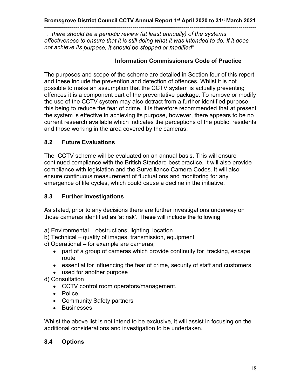**------------------------------------------------------------------------------------------------------------** *(at least annually) of the systems effectiveness to ensure that it is still doing what it was intended to do. If it does not achieve its*

#### **Information Commissioners Code of Practice**

The purposes and scope of the scheme are detailed in Section four of this report and these include the prevention and detection of offences. Whilst it is not possible to make an assumption that the CCTV system is actually preventing offences it is a component part of the preventative package. To remove or modify the use of the CCTV system may also detract from a further identified purpose, this being to reduce the fear of crime. It is therefore recommended that at present the system is effective in achieving its purpose, however, there appears to be no current research available which indicates the perceptions of the public, residents and those working in the area covered by the cameras.

#### **8.2 Future Evaluations**

The CCTV scheme will be evaluated on an annual basis. This will ensure continued compliance with the British Standard best practice. It will also provide compliance with legislation and the Surveillance Camera Codes. It will also ensure continuous measurement of fluctuations and monitoring for any emergence of life cycles, which could cause a decline in the initiative.

#### **8.3 Further Investigations**

As stated, prior to any decisions there are further investigations underway on those cameras identified as 'at risk'. These will include the following;

- a) Environmental obstructions, lighting, location
- b) Technical quality of images, transmission, equipment
- c) Operational for example are cameras;
	- part of a group of cameras which provide continuity for tracking, escape route
	- essential for influencing the fear of crime, security of staff and customers
	- used for another purpose
- d) Consultation
	- CCTV control room operators/management,
	- Police,
	- Community Safety partners
	- **•** Businesses

Whilst the above list is not intend to be exclusive, it will assist in focusing on the additional considerations and investigation to be undertaken.

#### **8.4 Options**